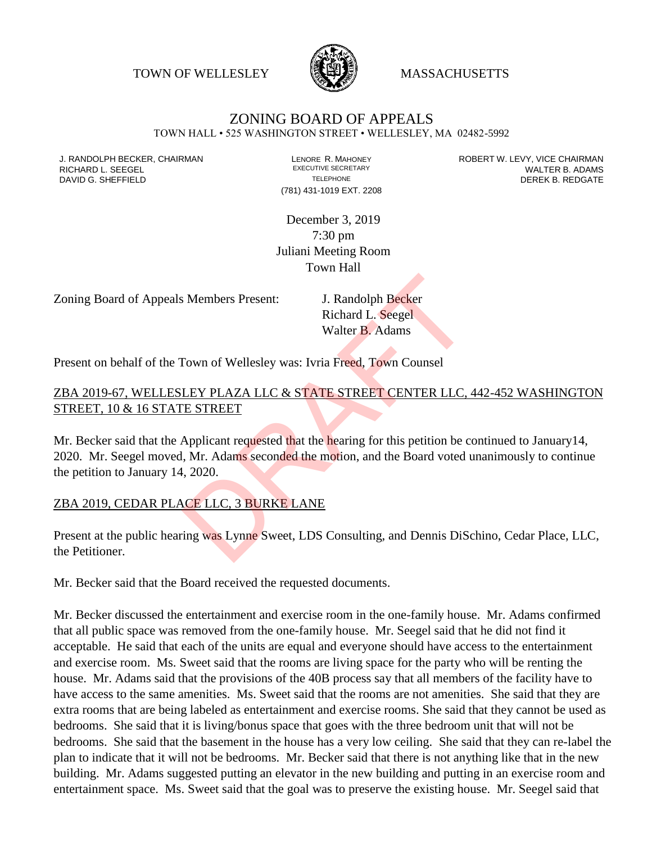TOWN OF WELLESLEY **WASSACHUSETTS** 



## ZONING BOARD OF APPEALS

TOWN HALL • 525 WASHINGTON STREET • WELLESLEY, MA 02482-5992

(781) 431-1019 EXT. 2208

J. RANDOLPH BECKER, CHAIRMAN LAND LENORE R. MAHONEY LEWING AN ANDERT W. LEVY, VICE CHAIRMAN LAND LENORE R. MAHONEY<br>RICHARD L. SFFGFI LADAMS RICHARD L. SEEGEL **EXECUTIVE SECRETARY CONTROLL SEEGETARY** WALTER B. ADAMS DAVID G. SHEFFIELD **TELEPHONE** TELEPHONE TELEPHONE **TELEPHONE DEREK B. REDGATE** 

> December 3, 2019 7:30 pm Juliani Meeting Room Town Hall

Zoning Board of Appeals Members Present: J. Randolph Becker

Richard L. Seegel Walter B. Adams

Present on behalf of the Town of Wellesley was: Ivria Freed, Town Counsel

## ZBA 2019-67, WELLESLEY PLAZA LLC & STATE STREET CENTER LLC, 442-452 WASHINGTON STREET, 10 & 16 STATE STREET

Mr. Becker said that the Applicant requested that the hearing for this petition be continued to January 14, 2020. Mr. Seegel moved, Mr. Adams seconded the motion, and the Board voted unanimously to continue the petition to January 14, 2020. S Members Present:<br>
J. Randolph Becker<br>
Richard L. Seegel<br>
Walter B. Adams<br>
Town of Wellesley was: Ivria Freed, Town Counsel<br>
<u>LEY PLAZA LLC & STATE STREET CENTER LLC,</u><br>
<u>E STREET</u><br>
Applicant requested that the hearing for

## ZBA 2019, CEDAR PLACE LLC, 3 BURKE LANE

Present at the public hearing was Lynne Sweet, LDS Consulting, and Dennis DiSchino, Cedar Place, LLC, the Petitioner.

Mr. Becker said that the Board received the requested documents.

Mr. Becker discussed the entertainment and exercise room in the one-family house. Mr. Adams confirmed that all public space was removed from the one-family house. Mr. Seegel said that he did not find it acceptable. He said that each of the units are equal and everyone should have access to the entertainment and exercise room. Ms. Sweet said that the rooms are living space for the party who will be renting the house. Mr. Adams said that the provisions of the 40B process say that all members of the facility have to have access to the same amenities. Ms. Sweet said that the rooms are not amenities. She said that they are extra rooms that are being labeled as entertainment and exercise rooms. She said that they cannot be used as bedrooms. She said that it is living/bonus space that goes with the three bedroom unit that will not be bedrooms. She said that the basement in the house has a very low ceiling. She said that they can re-label the plan to indicate that it will not be bedrooms. Mr. Becker said that there is not anything like that in the new building. Mr. Adams suggested putting an elevator in the new building and putting in an exercise room and entertainment space. Ms. Sweet said that the goal was to preserve the existing house. Mr. Seegel said that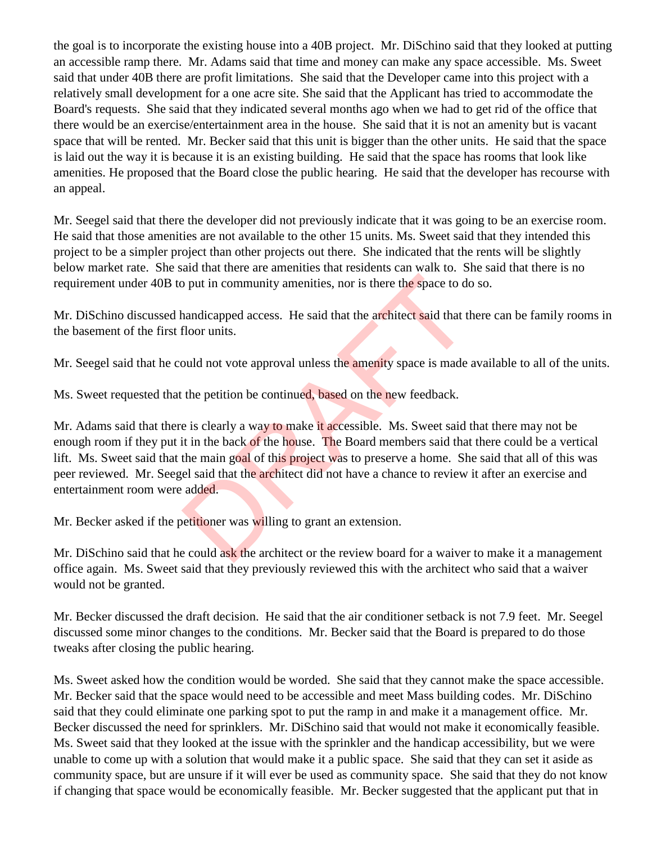the goal is to incorporate the existing house into a 40B project. Mr. DiSchino said that they looked at putting an accessible ramp there. Mr. Adams said that time and money can make any space accessible. Ms. Sweet said that under 40B there are profit limitations. She said that the Developer came into this project with a relatively small development for a one acre site. She said that the Applicant has tried to accommodate the Board's requests. She said that they indicated several months ago when we had to get rid of the office that there would be an exercise/entertainment area in the house. She said that it is not an amenity but is vacant space that will be rented. Mr. Becker said that this unit is bigger than the other units. He said that the space is laid out the way it is because it is an existing building. He said that the space has rooms that look like amenities. He proposed that the Board close the public hearing. He said that the developer has recourse with an appeal.

Mr. Seegel said that there the developer did not previously indicate that it was going to be an exercise room. He said that those amenities are not available to the other 15 units. Ms. Sweet said that they intended this project to be a simpler project than other projects out there. She indicated that the rents will be slightly below market rate. She said that there are amenities that residents can walk to. She said that there is no requirement under 40B to put in community amenities, nor is there the space to do so.

Mr. DiSchino discussed handicapped access. He said that the architect said that there can be family rooms in the basement of the first floor units.

Mr. Seegel said that he could not vote approval unless the amenity space is made available to all of the units.

Ms. Sweet requested that the petition be continued, based on the new feedback.

Mr. Adams said that there is clearly a way to make it accessible. Ms. Sweet said that there may not be enough room if they put it in the back of the house. The Board members said that there could be a vertical lift. Ms. Sweet said that the main goal of this project was to preserve a home. She said that all of this was peer reviewed. Mr. Seegel said that the architect did not have a chance to review it after an exercise and entertainment room were added. by put in community amenities, nor is there the space to do<br>anandicapped access. He said that the architect said that the<br>floor units.<br>ould not vote approval unless the **amenity** space is made<br>the petition be continued, ba

Mr. Becker asked if the petitioner was willing to grant an extension.

Mr. Dischino said that he could ask the architect or the review board for a waiver to make it a management office again. Ms. Sweet said that they previously reviewed this with the architect who said that a waiver would not be granted.

Mr. Becker discussed the draft decision. He said that the air conditioner setback is not 7.9 feet. Mr. Seegel discussed some minor changes to the conditions. Mr. Becker said that the Board is prepared to do those tweaks after closing the public hearing.

Ms. Sweet asked how the condition would be worded. She said that they cannot make the space accessible. Mr. Becker said that the space would need to be accessible and meet Mass building codes. Mr. DiSchino said that they could eliminate one parking spot to put the ramp in and make it a management office. Mr. Becker discussed the need for sprinklers. Mr. DiSchino said that would not make it economically feasible. Ms. Sweet said that they looked at the issue with the sprinkler and the handicap accessibility, but we were unable to come up with a solution that would make it a public space. She said that they can set it aside as community space, but are unsure if it will ever be used as community space. She said that they do not know if changing that space would be economically feasible. Mr. Becker suggested that the applicant put that in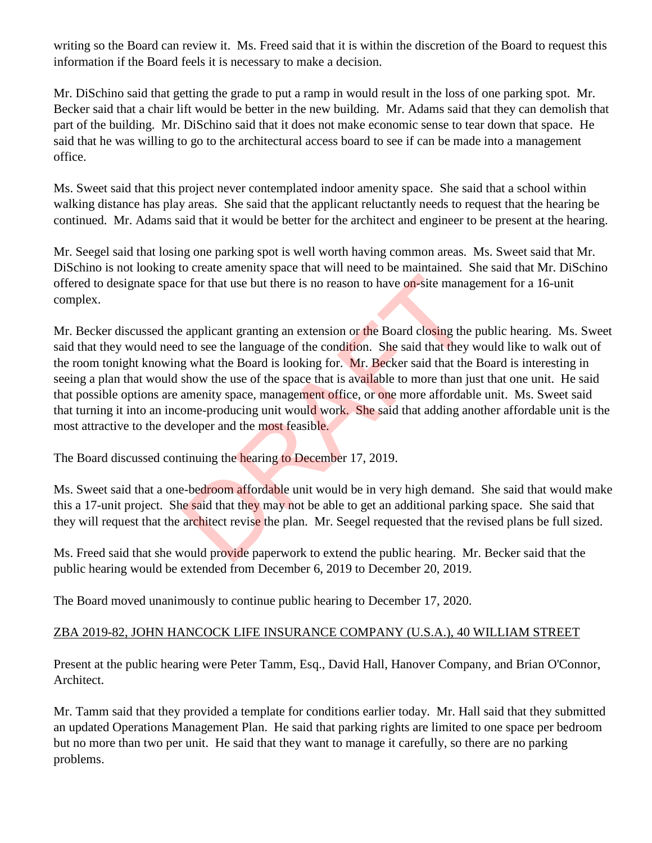writing so the Board can review it. Ms. Freed said that it is within the discretion of the Board to request this information if the Board feels it is necessary to make a decision.

Mr. DiSchino said that getting the grade to put a ramp in would result in the loss of one parking spot. Mr. Becker said that a chair lift would be better in the new building. Mr. Adams said that they can demolish that part of the building. Mr. DiSchino said that it does not make economic sense to tear down that space. He said that he was willing to go to the architectural access board to see if can be made into a management office.

Ms. Sweet said that this project never contemplated indoor amenity space. She said that a school within walking distance has play areas. She said that the applicant reluctantly needs to request that the hearing be continued. Mr. Adams said that it would be better for the architect and engineer to be present at the hearing.

Mr. Seegel said that losing one parking spot is well worth having common areas. Ms. Sweet said that Mr. DiSchino is not looking to create amenity space that will need to be maintained. She said that Mr. DiSchino offered to designate space for that use but there is no reason to have on-site management for a 16-unit complex.

Mr. Becker discussed the applicant granting an extension or the Board closing the public hearing. Ms. Sweet said that they would need to see the language of the condition. She said that they would like to walk out of the room tonight knowing what the Board is looking for. Mr. Becker said that the Board is interesting in seeing a plan that would show the use of the space that is available to more than just that one unit. He said that possible options are amenity space, management office, or one more affordable unit. Ms. Sweet said that turning it into an income-producing unit would work. She said that adding another affordable unit is the most attractive to the developer and the most feasible. e for that use but there is no reason to have on-site manage applicant granting an extension or the Board closing the to see the language of the condition. She said that they g what the Board is looking for. Mr. Becker sai

The Board discussed continuing the hearing to December 17, 2019.

Ms. Sweet said that a one-bedroom affordable unit would be in very high demand. She said that would make this a 17-unit project. She said that they may not be able to get an additional parking space. She said that they will request that the architect revise the plan. Mr. Seegel requested that the revised plans be full sized.

Ms. Freed said that she would provide paperwork to extend the public hearing. Mr. Becker said that the public hearing would be extended from December 6, 2019 to December 20, 2019.

The Board moved unanimously to continue public hearing to December 17, 2020.

## ZBA 2019-82, JOHN HANCOCK LIFE INSURANCE COMPANY (U.S.A.), 40 WILLIAM STREET

Present at the public hearing were Peter Tamm, Esq., David Hall, Hanover Company, and Brian O'Connor, Architect.

Mr. Tamm said that they provided a template for conditions earlier today. Mr. Hall said that they submitted an updated Operations Management Plan. He said that parking rights are limited to one space per bedroom but no more than two per unit. He said that they want to manage it carefully, so there are no parking problems.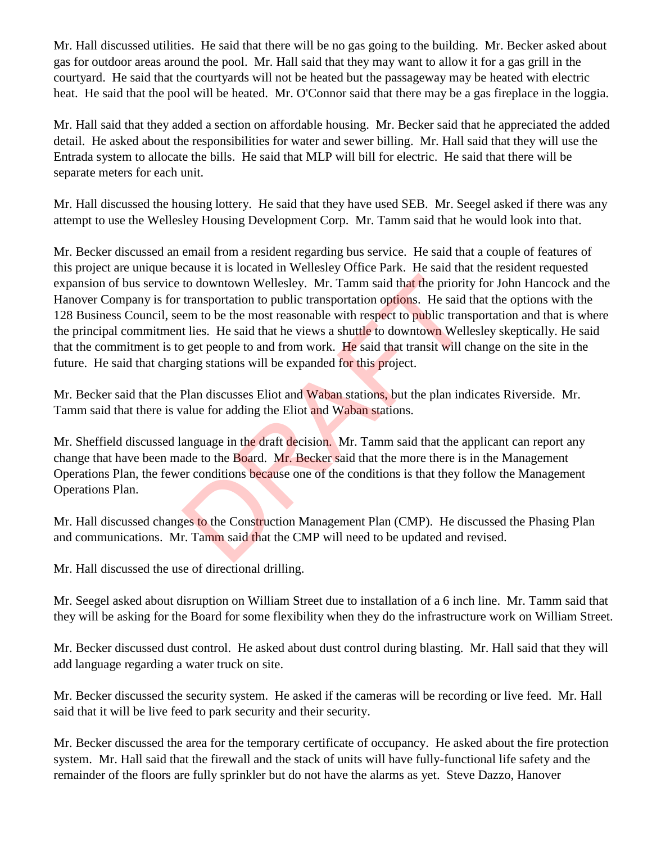Mr. Hall discussed utilities. He said that there will be no gas going to the building. Mr. Becker asked about gas for outdoor areas around the pool. Mr. Hall said that they may want to allow it for a gas grill in the courtyard. He said that the courtyards will not be heated but the passageway may be heated with electric heat. He said that the pool will be heated. Mr. O'Connor said that there may be a gas fireplace in the loggia.

Mr. Hall said that they added a section on affordable housing. Mr. Becker said that he appreciated the added detail. He asked about the responsibilities for water and sewer billing. Mr. Hall said that they will use the Entrada system to allocate the bills. He said that MLP will bill for electric. He said that there will be separate meters for each unit.

Mr. Hall discussed the housing lottery. He said that they have used SEB. Mr. Seegel asked if there was any attempt to use the Wellesley Housing Development Corp. Mr. Tamm said that he would look into that.

Mr. Becker discussed an email from a resident regarding bus service. He said that a couple of features of this project are unique because it is located in Wellesley Office Park. He said that the resident requested expansion of bus service to downtown Wellesley. Mr. Tamm said that the priority for John Hancock and the Hanover Company is for transportation to public transportation options. He said that the options with the 128 Business Council, seem to be the most reasonable with respect to public transportation and that is where the principal commitment lies. He said that he views a shuttle to downtown Wellesley skeptically. He said that the commitment is to get people to and from work. He said that transit will change on the site in the future. He said that charging stations will be expanded for this project. to downtown Wellesley. Mr. Tamm said that the priority<br>transportation to public transportation options. He said tem to be the most reasonable with respect to public trans<br>t lies. He said that he views a shuttle to downtown

Mr. Becker said that the Plan discusses Eliot and Waban stations, but the plan indicates Riverside. Mr. Tamm said that there is value for adding the Eliot and Waban stations.

Mr. Sheffield discussed language in the draft decision. Mr. Tamm said that the applicant can report any change that have been made to the Board. Mr. Becker said that the more there is in the Management Operations Plan, the fewer conditions because one of the conditions is that they follow the Management Operations Plan.

Mr. Hall discussed changes to the Construction Management Plan (CMP). He discussed the Phasing Plan and communications. Mr. Tamm said that the CMP will need to be updated and revised.

Mr. Hall discussed the use of directional drilling.

Mr. Seegel asked about disruption on William Street due to installation of a 6 inch line. Mr. Tamm said that they will be asking for the Board for some flexibility when they do the infrastructure work on William Street.

Mr. Becker discussed dust control. He asked about dust control during blasting. Mr. Hall said that they will add language regarding a water truck on site.

Mr. Becker discussed the security system. He asked if the cameras will be recording or live feed. Mr. Hall said that it will be live feed to park security and their security.

Mr. Becker discussed the area for the temporary certificate of occupancy. He asked about the fire protection system. Mr. Hall said that the firewall and the stack of units will have fully-functional life safety and the remainder of the floors are fully sprinkler but do not have the alarms as yet. Steve Dazzo, Hanover